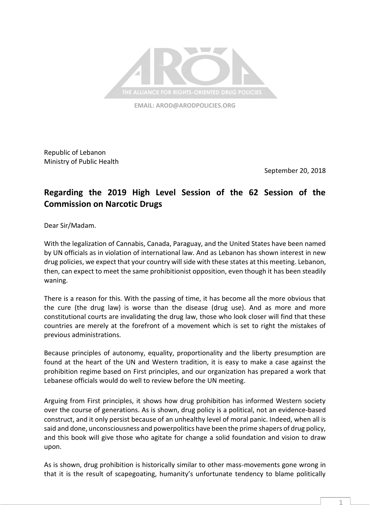

**EMAIL: [AROD@ARODPOLICIES.ORG](mailto:AROD@ARODPOLICIES.ORG)**

Republic of Lebanon Ministry of Public Health

September 20, 2018

## **Regarding the 2019 High Level Session of the 62 Session of the Commission on Narcotic Drugs**

Dear Sir/Madam.

With the legalization of Cannabis, Canada, Paraguay, and the United States have been named by UN officials as in violation of international law. And as Lebanon has shown interest in new drug policies, we expect that your country will side with these states at this meeting. Lebanon, then, can expect to meet the same prohibitionist opposition, even though it has been steadily waning.

There is a reason for this. With the passing of time, it has become all the more obvious that the cure (the drug law) is worse than the disease (drug use). And as more and more constitutional courts are invalidating the drug law, those who look closer will find that these countries are merely at the forefront of a movement which is set to right the mistakes of previous administrations.

Because principles of autonomy, equality, proportionality and the liberty presumption are found at the heart of the UN and Western tradition, it is easy to make a case against the prohibition regime based on First principles, and our organization has prepared a work that Lebanese officials would do well to review before the UN meeting.

Arguing from First principles, it shows how drug prohibition has informed Western society over the course of generations. As is shown, drug policy is a political, not an evidence-based construct, and it only persist because of an unhealthy level of moral panic. Indeed, when all is said and done, unconsciousness and powerpolitics have been the prime shapers of drug policy, and this book will give those who agitate for change a solid foundation and vision to draw upon.

As is shown, drug prohibition is historically similar to other mass-movements gone wrong in that it is the result of scapegoating, humanity's unfortunate tendency to blame politically